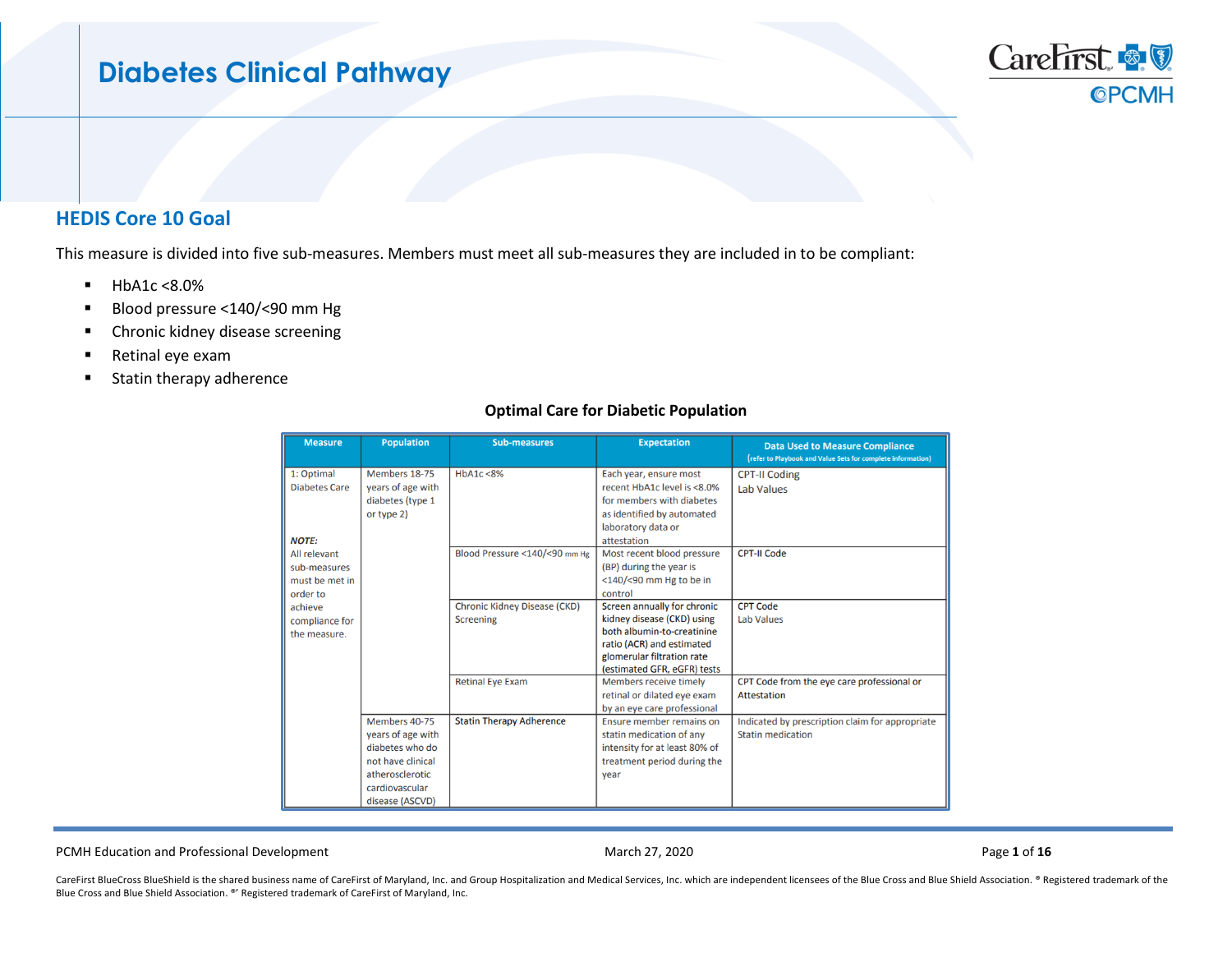# **Diabetes Clinical Pathway**

## **HEDIS Core 10 Goal**

This measure is divided into five sub-measures. Members must meet all sub-measures they are included in to be compliant:

- $HbA1c < 8.0%$
- Blood pressure <140/<90 mm Hg
- **E** Chronic kidney disease screening
- Retinal eye exam
- **Statin therapy adherence**

| <b>Measure</b>       | <b>Population</b> | <b>Sub-measures</b>                 | <b>Expectation</b>            | <b>Data Used to Measure Compliance</b><br>(refer to Playbook and Value Sets for complete information) |
|----------------------|-------------------|-------------------------------------|-------------------------------|-------------------------------------------------------------------------------------------------------|
| 1: Optimal           | Members 18-75     | HbA1c < 8%                          | Each year, ensure most        | <b>CPT-II Coding</b>                                                                                  |
| <b>Diabetes Care</b> | years of age with |                                     | recent HbA1c level is <8.0%   | <b>Lab Values</b>                                                                                     |
|                      | diabetes (type 1  |                                     | for members with diabetes     |                                                                                                       |
|                      | or type 2)        |                                     | as identified by automated    |                                                                                                       |
|                      |                   |                                     | laboratory data or            |                                                                                                       |
| <b>NOTE:</b>         |                   |                                     | attestation                   |                                                                                                       |
| All relevant         |                   | Blood Pressure <140/<90 mm Hg       | Most recent blood pressure    | <b>CPT-II Code</b>                                                                                    |
| sub-measures         |                   |                                     | (BP) during the year is       |                                                                                                       |
| must be met in       |                   |                                     | <140/<90 mm Hg to be in       |                                                                                                       |
| order to             |                   |                                     | control                       |                                                                                                       |
| achieve              |                   | <b>Chronic Kidney Disease (CKD)</b> | Screen annually for chronic   | <b>CPT Code</b>                                                                                       |
| compliance for       |                   | <b>Screening</b>                    | kidney disease (CKD) using    | <b>Lab Values</b>                                                                                     |
| the measure.         |                   |                                     | both albumin-to-creatinine    |                                                                                                       |
|                      |                   |                                     | ratio (ACR) and estimated     |                                                                                                       |
|                      |                   |                                     | glomerular filtration rate    |                                                                                                       |
|                      |                   |                                     | (estimated GFR, eGFR) tests   |                                                                                                       |
|                      |                   | <b>Retinal Eye Exam</b>             | Members receive timely        | CPT Code from the eye care professional or                                                            |
|                      |                   |                                     | retinal or dilated eye exam   | Attestation                                                                                           |
|                      |                   |                                     | by an eye care professional   |                                                                                                       |
|                      | Members 40-75     | <b>Statin Therapy Adherence</b>     | Ensure member remains on      | Indicated by prescription claim for appropriate                                                       |
|                      | years of age with |                                     | statin medication of any      | <b>Statin medication</b>                                                                              |
|                      | diabetes who do   |                                     | intensity for at least 80% of |                                                                                                       |
|                      | not have clinical |                                     | treatment period during the   |                                                                                                       |
|                      | atherosclerotic   |                                     | vear                          |                                                                                                       |
|                      | cardiovascular    |                                     |                               |                                                                                                       |
|                      | disease (ASCVD)   |                                     |                               |                                                                                                       |

### **Optimal Care for Diabetic Population**

PCMH Education and Professional Development March 27, 2020 Page **1** of **16**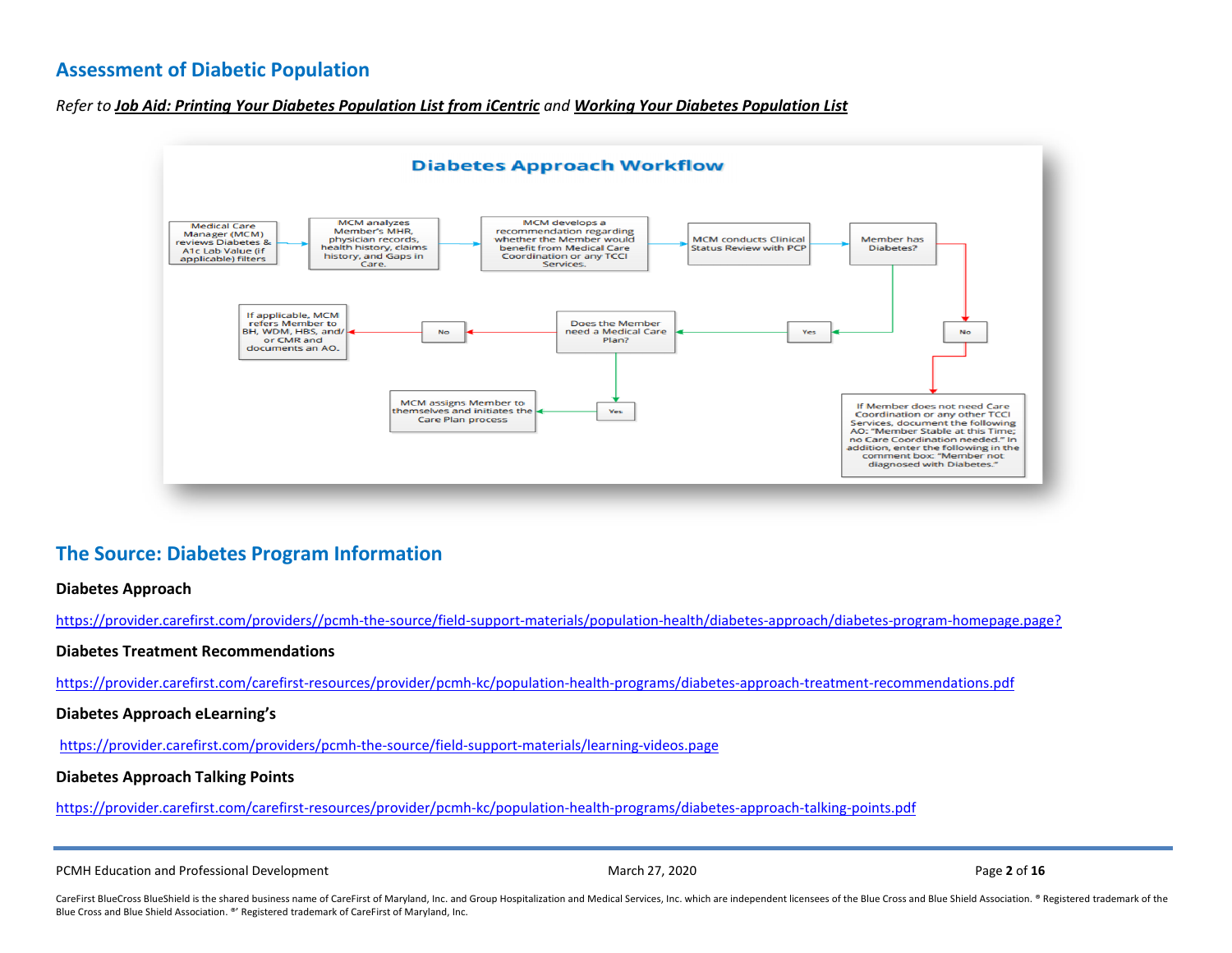## **Assessment of Diabetic Population**

*Refer to [Job Aid: Printing Your Diabetes Population List from iCentric](https://provider.carefirst.com/carefirst-resources/provider/pcmh-kc/population-health-programs/exporting-diabetes-population-list-excel-21june19.pdf) and [Working Your Diabetes Population List](https://provider.carefirst.com/carefirst-resources/provider/pcmh-kc/population-health-programs/working-your-diabetic-population-list.pdf)*



# **The Source: Diabetes Program Information**

### **Diabetes Approach**

[https://provider.carefirst.com/providers//pcmh-the-source/field-support-materials/population-health/diabetes-approach/diabetes-program-homepage.page?](https://provider.carefirst.com/providers/pcmh-the-source/field-support-materials/population-health/diabetes-approach/diabetes-program-homepage.page?)

### **Diabetes Treatment Recommendations**

<https://provider.carefirst.com/carefirst-resources/provider/pcmh-kc/population-health-programs/diabetes-approach-treatment-recommendations.pdf>

#### **Diabetes Approach eLearning's**

<https://provider.carefirst.com/providers/pcmh-the-source/field-support-materials/learning-videos.page>

### **Diabetes Approach Talking Points**

<https://provider.carefirst.com/carefirst-resources/provider/pcmh-kc/population-health-programs/diabetes-approach-talking-points.pdf>

PCMH Education and Professional Development **March 27, 2020** March 27, 2020 Page 2 of 16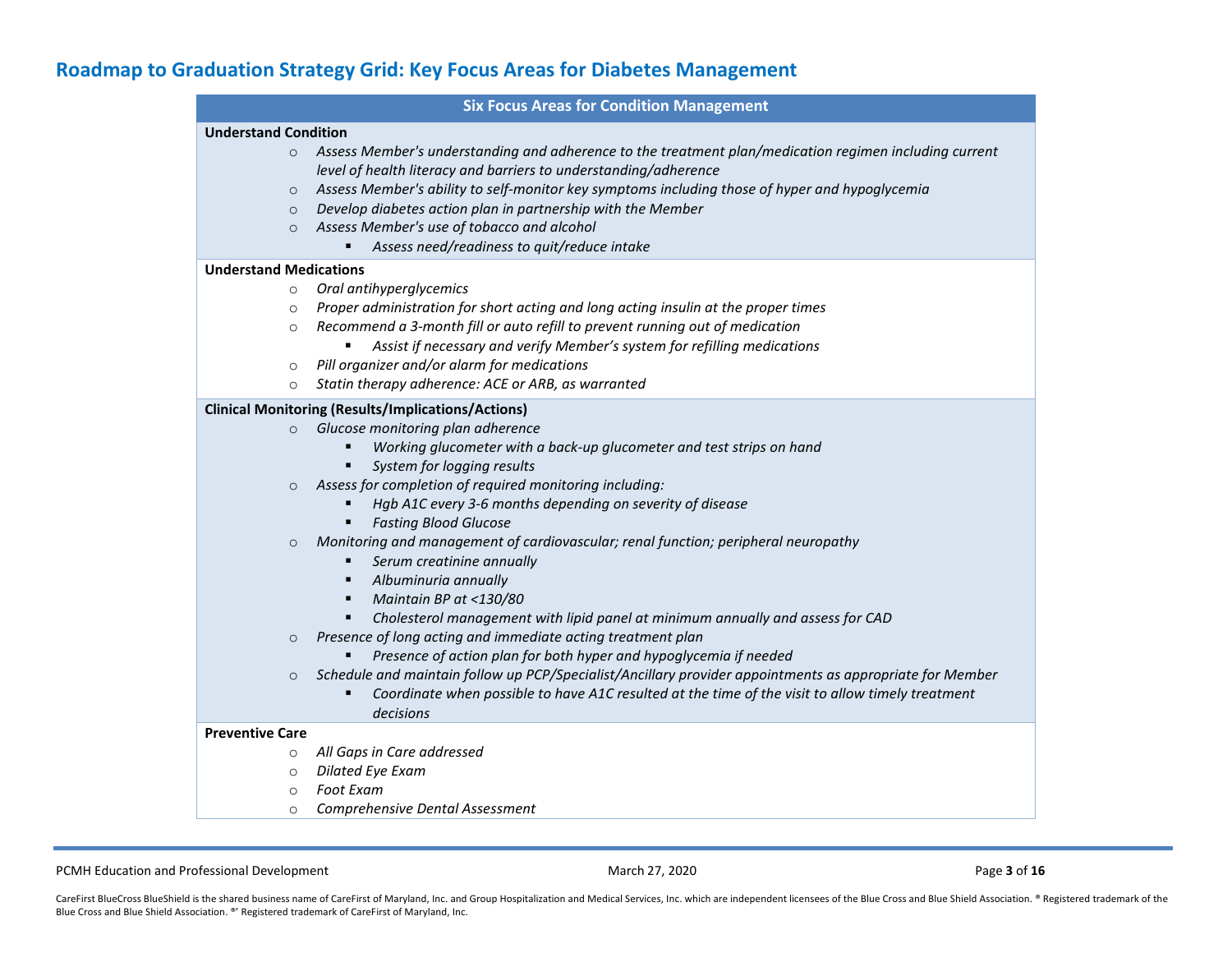# **Roadmap to Graduation Strategy Grid: Key Focus Areas for Diabetes Management**

|                               | <b>Six Focus Areas for Condition Management</b>                                                          |
|-------------------------------|----------------------------------------------------------------------------------------------------------|
| <b>Understand Condition</b>   |                                                                                                          |
| $\circ$                       | Assess Member's understanding and adherence to the treatment plan/medication regimen including current   |
|                               | level of health literacy and barriers to understanding/adherence                                         |
| $\circ$                       | Assess Member's ability to self-monitor key symptoms including those of hyper and hypoglycemia           |
| $\circ$                       | Develop diabetes action plan in partnership with the Member                                              |
| $\Omega$                      | Assess Member's use of tobacco and alcohol                                                               |
|                               | Assess need/readiness to quit/reduce intake                                                              |
| <b>Understand Medications</b> |                                                                                                          |
| $\circ$                       | Oral antihyperglycemics                                                                                  |
| $\circ$                       | Proper administration for short acting and long acting insulin at the proper times                       |
| $\circ$                       | Recommend a 3-month fill or auto refill to prevent running out of medication                             |
|                               | Assist if necessary and verify Member's system for refilling medications                                 |
| O                             | Pill organizer and/or alarm for medications                                                              |
| $\circ$                       | Statin therapy adherence: ACE or ARB, as warranted                                                       |
|                               | <b>Clinical Monitoring (Results/Implications/Actions)</b>                                                |
| $\circ$                       | Glucose monitoring plan adherence                                                                        |
|                               | Working glucometer with a back-up glucometer and test strips on hand                                     |
|                               | System for logging results                                                                               |
| $\circ$                       | Assess for completion of required monitoring including:                                                  |
|                               | Hgb A1C every 3-6 months depending on severity of disease                                                |
|                               | <b>Fasting Blood Glucose</b>                                                                             |
| $\circ$                       | Monitoring and management of cardiovascular; renal function; peripheral neuropathy                       |
|                               | Serum creatinine annually<br>٠                                                                           |
|                               | Albuminuria annually<br>٠                                                                                |
|                               | Maintain BP at <130/80<br>٠                                                                              |
|                               | Cholesterol management with lipid panel at minimum annually and assess for CAD                           |
| $\circ$                       | Presence of long acting and immediate acting treatment plan                                              |
|                               | Presence of action plan for both hyper and hypoglycemia if needed                                        |
| $\circ$                       | Schedule and maintain follow up PCP/Specialist/Ancillary provider appointments as appropriate for Member |
|                               | Coordinate when possible to have A1C resulted at the time of the visit to allow timely treatment         |
|                               | decisions                                                                                                |
| <b>Preventive Care</b>        |                                                                                                          |
| $\circ$                       | All Gaps in Care addressed                                                                               |
| $\circ$                       | <b>Dilated Eye Exam</b>                                                                                  |
| $\circ$                       | <b>Foot Exam</b>                                                                                         |
| $\circ$                       | Comprehensive Dental Assessment                                                                          |

PCMH Education and Professional Development **March 27, 2020** March 27, 2020 **Page 3 of 16** Page 3 of 16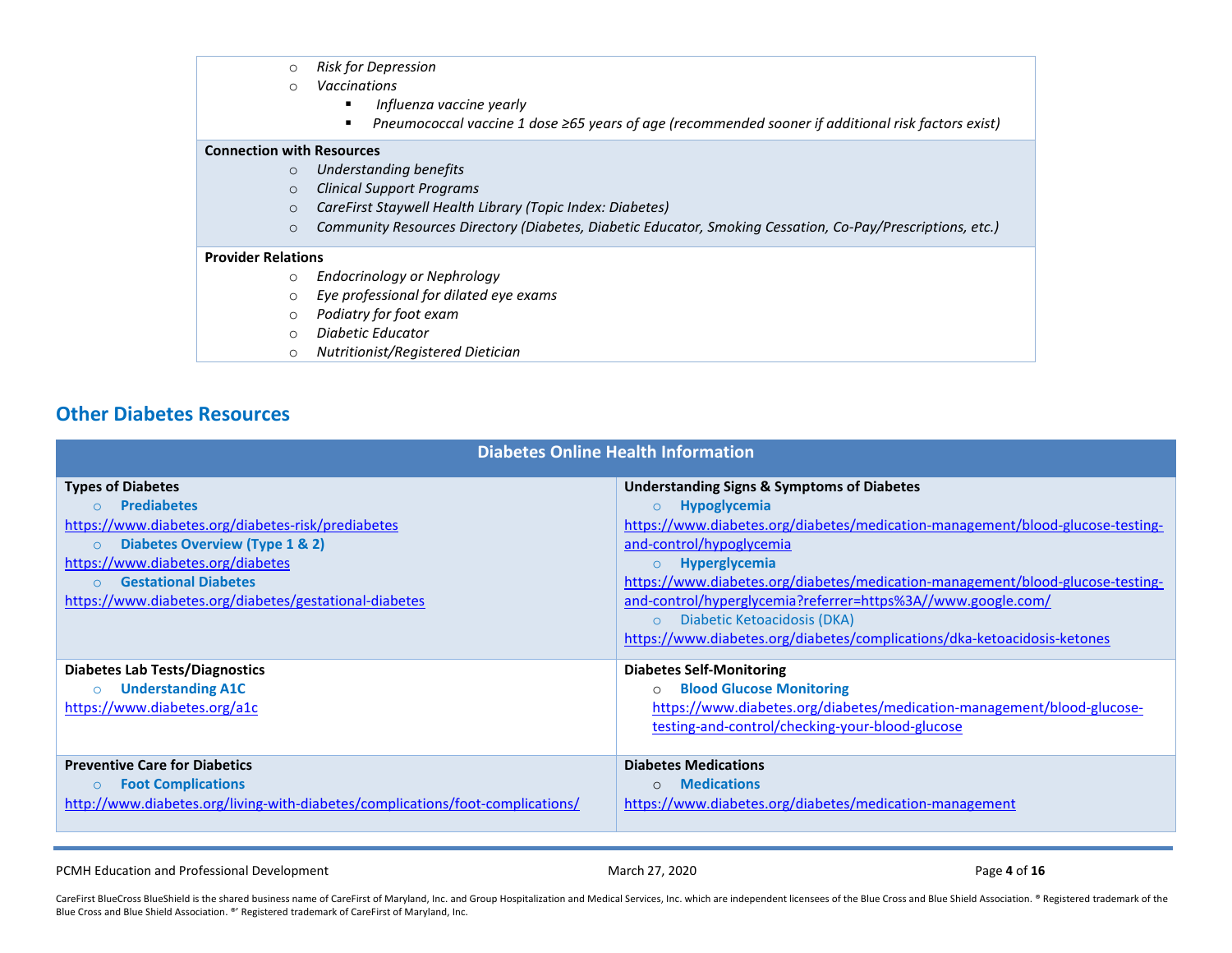- o *Risk for Depression*
- o *Vaccinations* 
	- *Influenza vaccine yearly*
	- *Pneumococcal vaccine 1 dose ≥65 years of age (recommended sooner if additional risk factors exist)*

#### **Connection with Resources**

- o *Understanding benefits*
- o *Clinical Support Programs*
- o *CareFirst Staywell Health Library (Topic Index: Diabetes)*
- o *Community Resources Directory (Diabetes, Diabetic Educator, Smoking Cessation, Co-Pay/Prescriptions, etc.)*

#### **Provider Relations**

- o *Endocrinology or Nephrology*
- o *Eye professional for dilated eye exams*
- o *Podiatry for foot exam*
- o *Diabetic Educator*
- o *Nutritionist/Registered Dietician*

## **Other Diabetes Resources**

| <b>Diabetes Online Health Information</b>                                                                                                                                                                                                                                       |                                                                                                                                                                                                                                                                                                                                                                                                                                                                                                                   |  |  |  |  |
|---------------------------------------------------------------------------------------------------------------------------------------------------------------------------------------------------------------------------------------------------------------------------------|-------------------------------------------------------------------------------------------------------------------------------------------------------------------------------------------------------------------------------------------------------------------------------------------------------------------------------------------------------------------------------------------------------------------------------------------------------------------------------------------------------------------|--|--|--|--|
| <b>Types of Diabetes</b><br><b>Prediabetes</b><br>https://www.diabetes.org/diabetes-risk/prediabetes<br>Diabetes Overview (Type 1 & 2)<br>$\circ$<br>https://www.diabetes.org/diabetes<br><b>Gestational Diabetes</b><br>https://www.diabetes.org/diabetes/gestational-diabetes | <b>Understanding Signs &amp; Symptoms of Diabetes</b><br><b>Hypoglycemia</b><br>$\circ$<br>https://www.diabetes.org/diabetes/medication-management/blood-glucose-testing-<br>and-control/hypoglycemia<br><b>Hyperglycemia</b><br>$\Omega$<br>https://www.diabetes.org/diabetes/medication-management/blood-glucose-testing-<br>and-control/hyperglycemia?referrer=https%3A//www.google.com/<br>Diabetic Ketoacidosis (DKA)<br>$\circ$<br>https://www.diabetes.org/diabetes/complications/dka-ketoacidosis-ketones |  |  |  |  |
| <b>Diabetes Lab Tests/Diagnostics</b><br><b>Understanding A1C</b><br>https://www.diabetes.org/a1c<br><b>Preventive Care for Diabetics</b>                                                                                                                                       | <b>Diabetes Self-Monitoring</b><br><b>Blood Glucose Monitoring</b><br>https://www.diabetes.org/diabetes/medication-management/blood-glucose-<br>testing-and-control/checking-your-blood-glucose<br><b>Diabetes Medications</b>                                                                                                                                                                                                                                                                                    |  |  |  |  |
| <b>Foot Complications</b><br>http://www.diabetes.org/living-with-diabetes/complications/foot-complications/                                                                                                                                                                     | <b>Medications</b><br>https://www.diabetes.org/diabetes/medication-management                                                                                                                                                                                                                                                                                                                                                                                                                                     |  |  |  |  |

PCMH Education and Professional Development **March 27, 2020** March 27, 2020 Page 4 of 16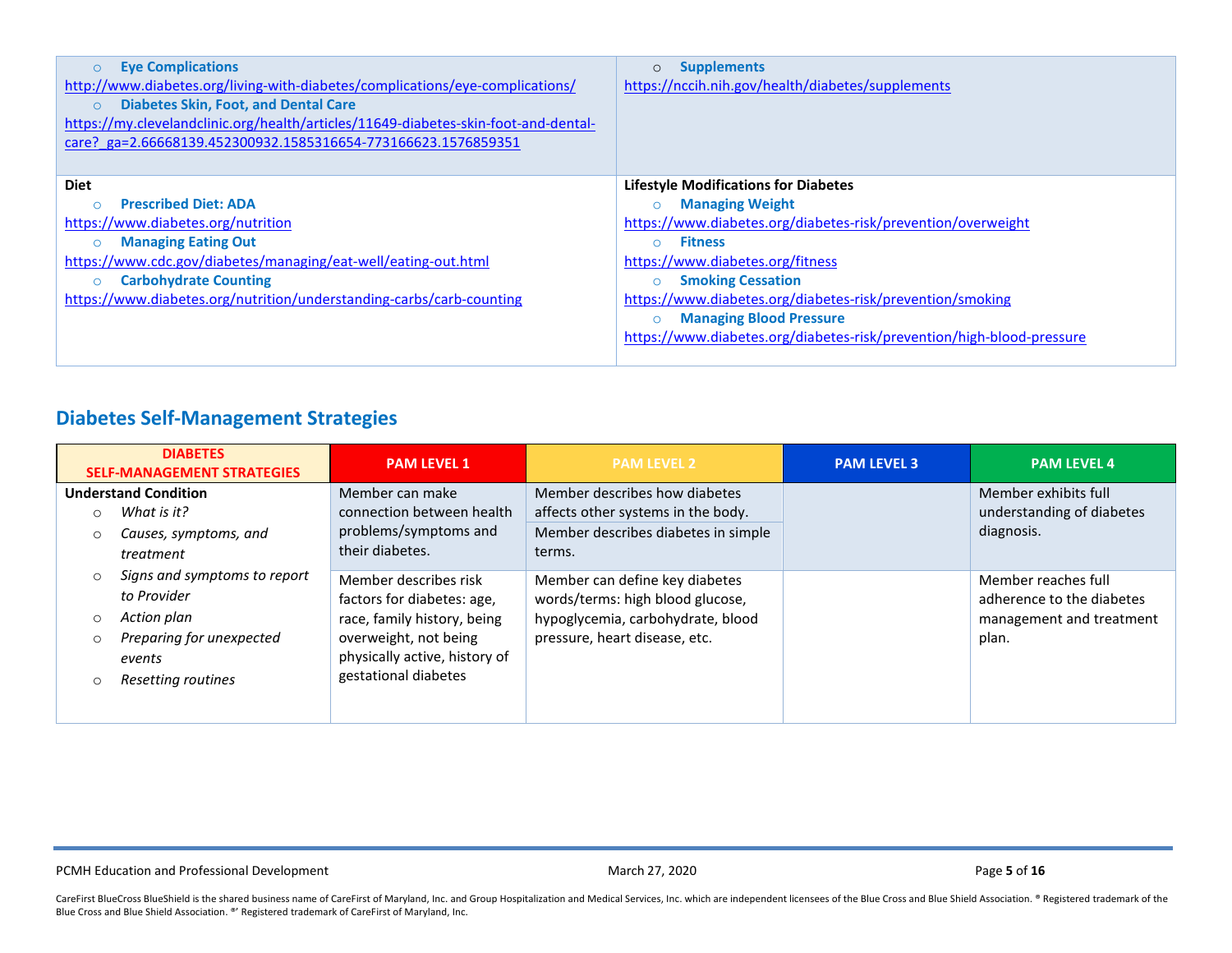| <b>Eye Complications</b><br>$\circ$                                                 | <b>Supplements</b><br>$\circ$                                         |
|-------------------------------------------------------------------------------------|-----------------------------------------------------------------------|
| http://www.diabetes.org/living-with-diabetes/complications/eye-complications/       | https://nccih.nih.gov/health/diabetes/supplements                     |
| <b>Diabetes Skin, Foot, and Dental Care</b><br>$\circ$                              |                                                                       |
| https://my.clevelandclinic.org/health/articles/11649-diabetes-skin-foot-and-dental- |                                                                       |
| care? ga=2.66668139.452300932.1585316654-773166623.1576859351                       |                                                                       |
|                                                                                     |                                                                       |
| <b>Diet</b>                                                                         | <b>Lifestyle Modifications for Diabetes</b>                           |
| <b>Prescribed Diet: ADA</b>                                                         | <b>Managing Weight</b>                                                |
| https://www.diabetes.org/nutrition                                                  | https://www.diabetes.org/diabetes-risk/prevention/overweight          |
| <b>Managing Eating Out</b><br>$\circ$                                               | <b>Fitness</b><br>$\cap$                                              |
| https://www.cdc.gov/diabetes/managing/eat-well/eating-out.html                      | https://www.diabetes.org/fitness                                      |
| <b>Carbohydrate Counting</b><br>$\circ$                                             | <b>Smoking Cessation</b><br>$\circ$                                   |
| https://www.diabetes.org/nutrition/understanding-carbs/carb-counting                | https://www.diabetes.org/diabetes-risk/prevention/smoking             |
|                                                                                     | <b>Managing Blood Pressure</b>                                        |
|                                                                                     | https://www.diabetes.org/diabetes-risk/prevention/high-blood-pressure |
|                                                                                     |                                                                       |

# **Diabetes Self-Management Strategies**

| <b>DIABETES</b><br><b>SELF-MANAGEMENT STRATEGIES</b>                                                                              | <b>PAM LEVEL 1</b>                                                                                                                                                   | <b>PAM LEVEL 2</b>                                                                                                                       | <b>PAM LEVEL 3</b> | <b>PAM LEVEL 4</b>                                                                    |
|-----------------------------------------------------------------------------------------------------------------------------------|----------------------------------------------------------------------------------------------------------------------------------------------------------------------|------------------------------------------------------------------------------------------------------------------------------------------|--------------------|---------------------------------------------------------------------------------------|
| <b>Understand Condition</b><br>What is it?<br>$\Omega$<br>Causes, symptoms, and<br>$\Omega$<br>treatment                          | Member can make<br>connection between health<br>problems/symptoms and<br>their diabetes.                                                                             | Member describes how diabetes<br>affects other systems in the body.<br>Member describes diabetes in simple<br>terms.                     |                    | Member exhibits full<br>understanding of diabetes<br>diagnosis.                       |
| Signs and symptoms to report<br>$\circ$<br>to Provider<br>Action plan<br>Preparing for unexpected<br>events<br>Resetting routines | Member describes risk<br>factors for diabetes: age,<br>race, family history, being<br>overweight, not being<br>physically active, history of<br>gestational diabetes | Member can define key diabetes<br>words/terms: high blood glucose,<br>hypoglycemia, carbohydrate, blood<br>pressure, heart disease, etc. |                    | Member reaches full<br>adherence to the diabetes<br>management and treatment<br>plan. |

PCMH Education and Professional Development **March 27, 2020** March 27, 2020 Page 5 of 16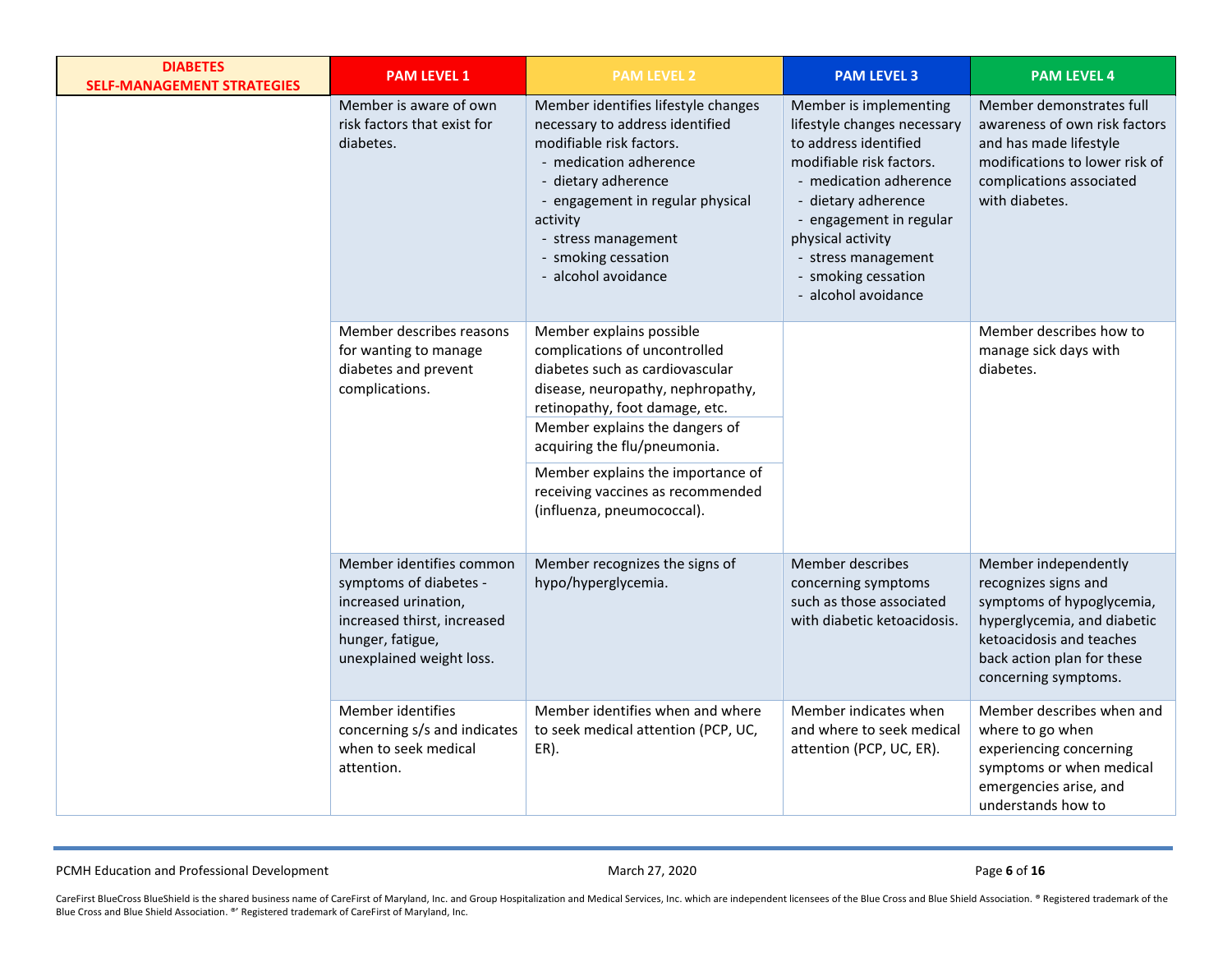| <b>DIABETES</b><br><b>SELF-MANAGEMENT STRATEGIES</b> | <b>PAM LEVEL 1</b>                                                                                                                                        | <b>PAM LEVEL 2</b>                                                                                                                                                                                                                                                                                                                            | <b>PAM LEVEL 3</b>                                                                                                                                                                                                                                                               | <b>PAM LEVEL 4</b>                                                                                                                                                                         |
|------------------------------------------------------|-----------------------------------------------------------------------------------------------------------------------------------------------------------|-----------------------------------------------------------------------------------------------------------------------------------------------------------------------------------------------------------------------------------------------------------------------------------------------------------------------------------------------|----------------------------------------------------------------------------------------------------------------------------------------------------------------------------------------------------------------------------------------------------------------------------------|--------------------------------------------------------------------------------------------------------------------------------------------------------------------------------------------|
|                                                      | Member is aware of own<br>risk factors that exist for<br>diabetes.                                                                                        | Member identifies lifestyle changes<br>necessary to address identified<br>modifiable risk factors.<br>- medication adherence<br>- dietary adherence<br>- engagement in regular physical<br>activity<br>- stress management<br>- smoking cessation<br>- alcohol avoidance                                                                      | Member is implementing<br>lifestyle changes necessary<br>to address identified<br>modifiable risk factors.<br>- medication adherence<br>- dietary adherence<br>- engagement in regular<br>physical activity<br>- stress management<br>- smoking cessation<br>- alcohol avoidance | Member demonstrates full<br>awareness of own risk factors<br>and has made lifestyle<br>modifications to lower risk of<br>complications associated<br>with diabetes.                        |
|                                                      | Member describes reasons<br>for wanting to manage<br>diabetes and prevent<br>complications.                                                               | Member explains possible<br>complications of uncontrolled<br>diabetes such as cardiovascular<br>disease, neuropathy, nephropathy,<br>retinopathy, foot damage, etc.<br>Member explains the dangers of<br>acquiring the flu/pneumonia.<br>Member explains the importance of<br>receiving vaccines as recommended<br>(influenza, pneumococcal). |                                                                                                                                                                                                                                                                                  | Member describes how to<br>manage sick days with<br>diabetes.                                                                                                                              |
|                                                      | Member identifies common<br>symptoms of diabetes -<br>increased urination,<br>increased thirst, increased<br>hunger, fatigue,<br>unexplained weight loss. | Member recognizes the signs of<br>hypo/hyperglycemia.                                                                                                                                                                                                                                                                                         | Member describes<br>concerning symptoms<br>such as those associated<br>with diabetic ketoacidosis.                                                                                                                                                                               | Member independently<br>recognizes signs and<br>symptoms of hypoglycemia,<br>hyperglycemia, and diabetic<br>ketoacidosis and teaches<br>back action plan for these<br>concerning symptoms. |
|                                                      | Member identifies<br>concerning s/s and indicates<br>when to seek medical<br>attention.                                                                   | Member identifies when and where<br>to seek medical attention (PCP, UC,<br>ER).                                                                                                                                                                                                                                                               | Member indicates when<br>and where to seek medical<br>attention (PCP, UC, ER).                                                                                                                                                                                                   | Member describes when and<br>where to go when<br>experiencing concerning<br>symptoms or when medical<br>emergencies arise, and<br>understands how to                                       |

PCMH Education and Professional Development **March 27, 2020** March 27, 2020 **Page 6** of 16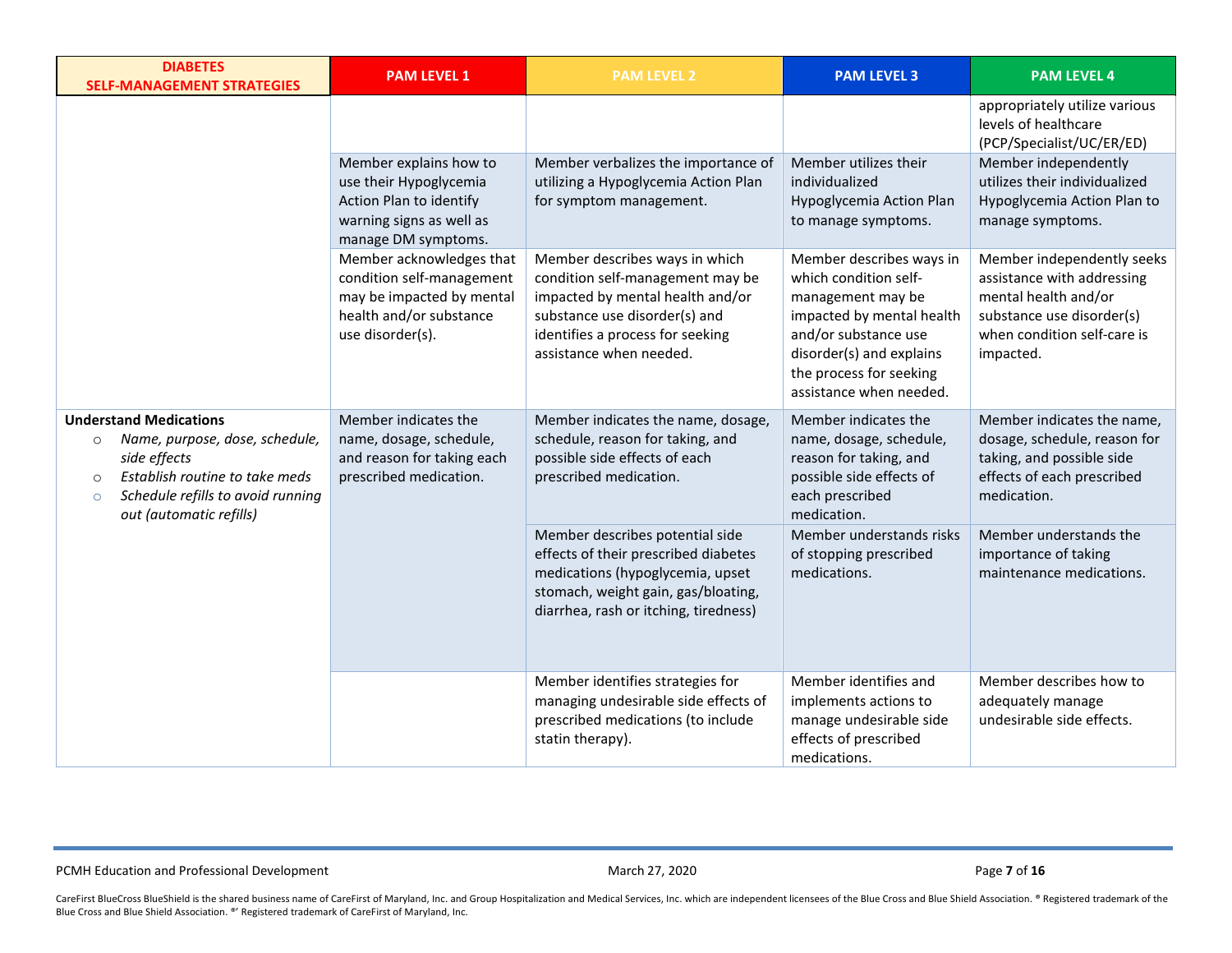| <b>DIABETES</b><br><b>SELF-MANAGEMENT STRATEGIES</b>                                                                                                                                                               | <b>PAM LEVEL 1</b>                                                                                                                | <b>PAM LEVEL 2</b>                                                                                                                                                                                     | <b>PAM LEVEL 3</b>                                                                                                                                                                                            | <b>PAM LEVEL 4</b>                                                                                                                                        |
|--------------------------------------------------------------------------------------------------------------------------------------------------------------------------------------------------------------------|-----------------------------------------------------------------------------------------------------------------------------------|--------------------------------------------------------------------------------------------------------------------------------------------------------------------------------------------------------|---------------------------------------------------------------------------------------------------------------------------------------------------------------------------------------------------------------|-----------------------------------------------------------------------------------------------------------------------------------------------------------|
|                                                                                                                                                                                                                    |                                                                                                                                   |                                                                                                                                                                                                        |                                                                                                                                                                                                               | appropriately utilize various<br>levels of healthcare<br>(PCP/Specialist/UC/ER/ED)                                                                        |
|                                                                                                                                                                                                                    | Member explains how to<br>use their Hypoglycemia<br>Action Plan to identify<br>warning signs as well as<br>manage DM symptoms.    | Member verbalizes the importance of<br>utilizing a Hypoglycemia Action Plan<br>for symptom management.                                                                                                 | Member utilizes their<br>individualized<br>Hypoglycemia Action Plan<br>to manage symptoms.                                                                                                                    | Member independently<br>utilizes their individualized<br>Hypoglycemia Action Plan to<br>manage symptoms.                                                  |
|                                                                                                                                                                                                                    | Member acknowledges that<br>condition self-management<br>may be impacted by mental<br>health and/or substance<br>use disorder(s). | Member describes ways in which<br>condition self-management may be<br>impacted by mental health and/or<br>substance use disorder(s) and<br>identifies a process for seeking<br>assistance when needed. | Member describes ways in<br>which condition self-<br>management may be<br>impacted by mental health<br>and/or substance use<br>disorder(s) and explains<br>the process for seeking<br>assistance when needed. | Member independently seeks<br>assistance with addressing<br>mental health and/or<br>substance use disorder(s)<br>when condition self-care is<br>impacted. |
| <b>Understand Medications</b><br>Name, purpose, dose, schedule,<br>$\circ$<br>side effects<br>Establish routine to take meds<br>$\circ$<br>Schedule refills to avoid running<br>$\circ$<br>out (automatic refills) | Member indicates the<br>name, dosage, schedule,<br>and reason for taking each<br>prescribed medication.                           | Member indicates the name, dosage,<br>schedule, reason for taking, and<br>possible side effects of each<br>prescribed medication.                                                                      | Member indicates the<br>name, dosage, schedule,<br>reason for taking, and<br>possible side effects of<br>each prescribed<br>medication.                                                                       | Member indicates the name,<br>dosage, schedule, reason for<br>taking, and possible side<br>effects of each prescribed<br>medication.                      |
|                                                                                                                                                                                                                    |                                                                                                                                   | Member describes potential side<br>effects of their prescribed diabetes<br>medications (hypoglycemia, upset<br>stomach, weight gain, gas/bloating,<br>diarrhea, rash or itching, tiredness)            | Member understands risks<br>of stopping prescribed<br>medications.                                                                                                                                            | Member understands the<br>importance of taking<br>maintenance medications.                                                                                |
|                                                                                                                                                                                                                    |                                                                                                                                   | Member identifies strategies for<br>managing undesirable side effects of<br>prescribed medications (to include<br>statin therapy).                                                                     | Member identifies and<br>implements actions to<br>manage undesirable side<br>effects of prescribed<br>medications.                                                                                            | Member describes how to<br>adequately manage<br>undesirable side effects.                                                                                 |

PCMH Education and Professional Development **March 27, 2020** March 27, 2020 **Page 7** of 16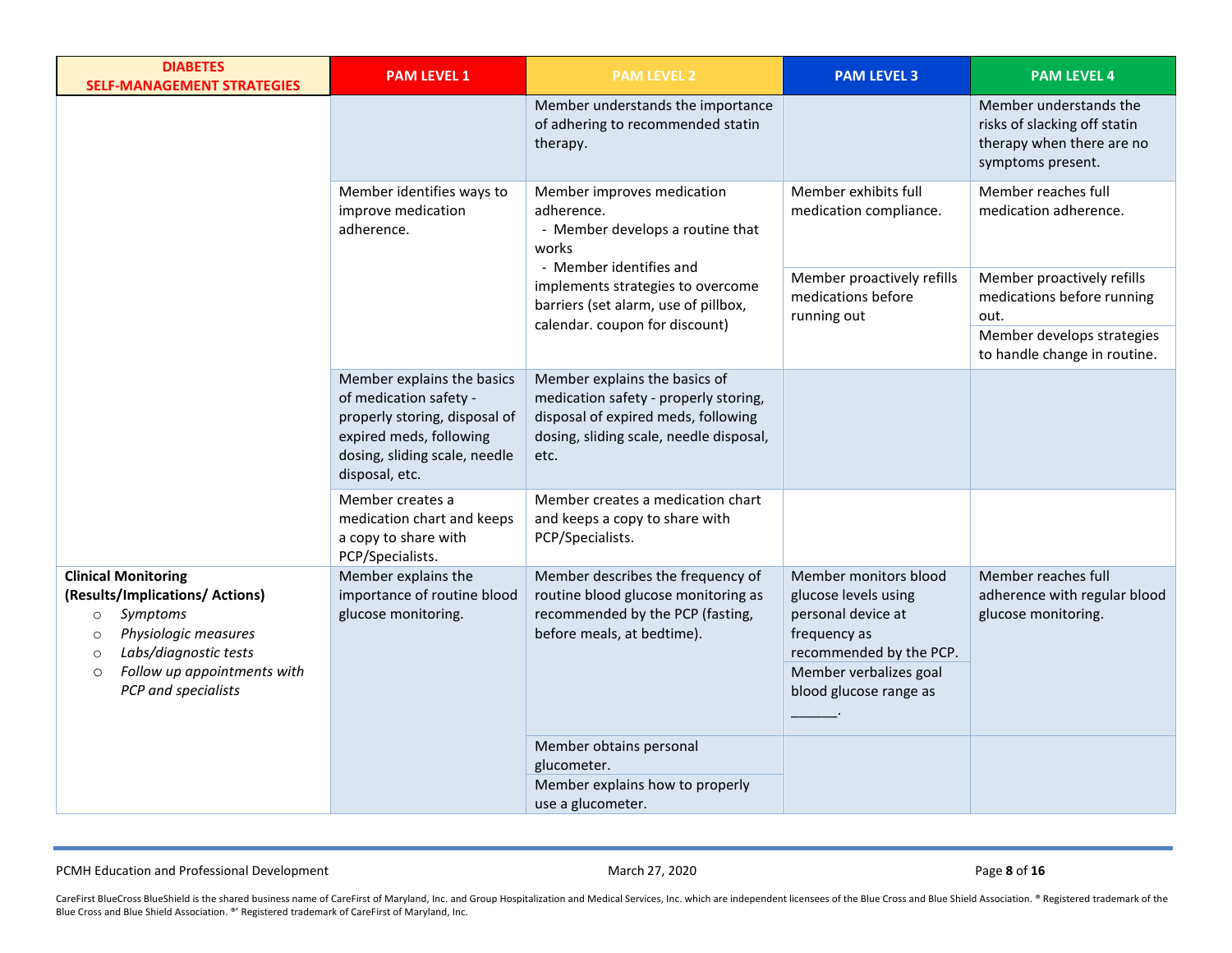| <b>DIABETES</b><br><b>SELF-MANAGEMENT STRATEGIES</b>                                                                                                                                                                         | <b>PAM LEVEL 1</b>                                                                                                                                                  | <b>PAM LEVEL 2</b>                                                                                                                                               | <b>PAM LEVEL 3</b>                                                                                                                                                 | <b>PAM LEVEL 4</b>                                                                                       |
|------------------------------------------------------------------------------------------------------------------------------------------------------------------------------------------------------------------------------|---------------------------------------------------------------------------------------------------------------------------------------------------------------------|------------------------------------------------------------------------------------------------------------------------------------------------------------------|--------------------------------------------------------------------------------------------------------------------------------------------------------------------|----------------------------------------------------------------------------------------------------------|
|                                                                                                                                                                                                                              |                                                                                                                                                                     | Member understands the importance<br>of adhering to recommended statin<br>therapy.                                                                               |                                                                                                                                                                    | Member understands the<br>risks of slacking off statin<br>therapy when there are no<br>symptoms present. |
|                                                                                                                                                                                                                              | Member identifies ways to<br>improve medication<br>adherence.                                                                                                       | Member improves medication<br>adherence.<br>- Member develops a routine that<br>works<br>- Member identifies and                                                 | Member exhibits full<br>medication compliance.                                                                                                                     | Member reaches full<br>medication adherence.                                                             |
|                                                                                                                                                                                                                              |                                                                                                                                                                     | implements strategies to overcome<br>barriers (set alarm, use of pillbox,<br>calendar. coupon for discount)                                                      | Member proactively refills<br>medications before<br>running out                                                                                                    | Member proactively refills<br>medications before running<br>out.                                         |
|                                                                                                                                                                                                                              |                                                                                                                                                                     |                                                                                                                                                                  |                                                                                                                                                                    | Member develops strategies<br>to handle change in routine.                                               |
|                                                                                                                                                                                                                              | Member explains the basics<br>of medication safety -<br>properly storing, disposal of<br>expired meds, following<br>dosing, sliding scale, needle<br>disposal, etc. | Member explains the basics of<br>medication safety - properly storing,<br>disposal of expired meds, following<br>dosing, sliding scale, needle disposal,<br>etc. |                                                                                                                                                                    |                                                                                                          |
|                                                                                                                                                                                                                              | Member creates a<br>medication chart and keeps<br>a copy to share with<br>PCP/Specialists.                                                                          | Member creates a medication chart<br>and keeps a copy to share with<br>PCP/Specialists.                                                                          |                                                                                                                                                                    |                                                                                                          |
| <b>Clinical Monitoring</b><br>(Results/Implications/ Actions)<br>Symptoms<br>$\circ$<br>Physiologic measures<br>$\circ$<br>Labs/diagnostic tests<br>$\circ$<br>Follow up appointments with<br>$\circ$<br>PCP and specialists | Member explains the<br>importance of routine blood<br>glucose monitoring.                                                                                           | Member describes the frequency of<br>routine blood glucose monitoring as<br>recommended by the PCP (fasting,<br>before meals, at bedtime).                       | Member monitors blood<br>glucose levels using<br>personal device at<br>frequency as<br>recommended by the PCP.<br>Member verbalizes goal<br>blood glucose range as | Member reaches full<br>adherence with regular blood<br>glucose monitoring.                               |
|                                                                                                                                                                                                                              |                                                                                                                                                                     | Member obtains personal<br>glucometer.<br>Member explains how to properly<br>use a glucometer.                                                                   |                                                                                                                                                                    |                                                                                                          |

PCMH Education and Professional Development **March 27, 2020** March 27, 2020 **Page 8** of 16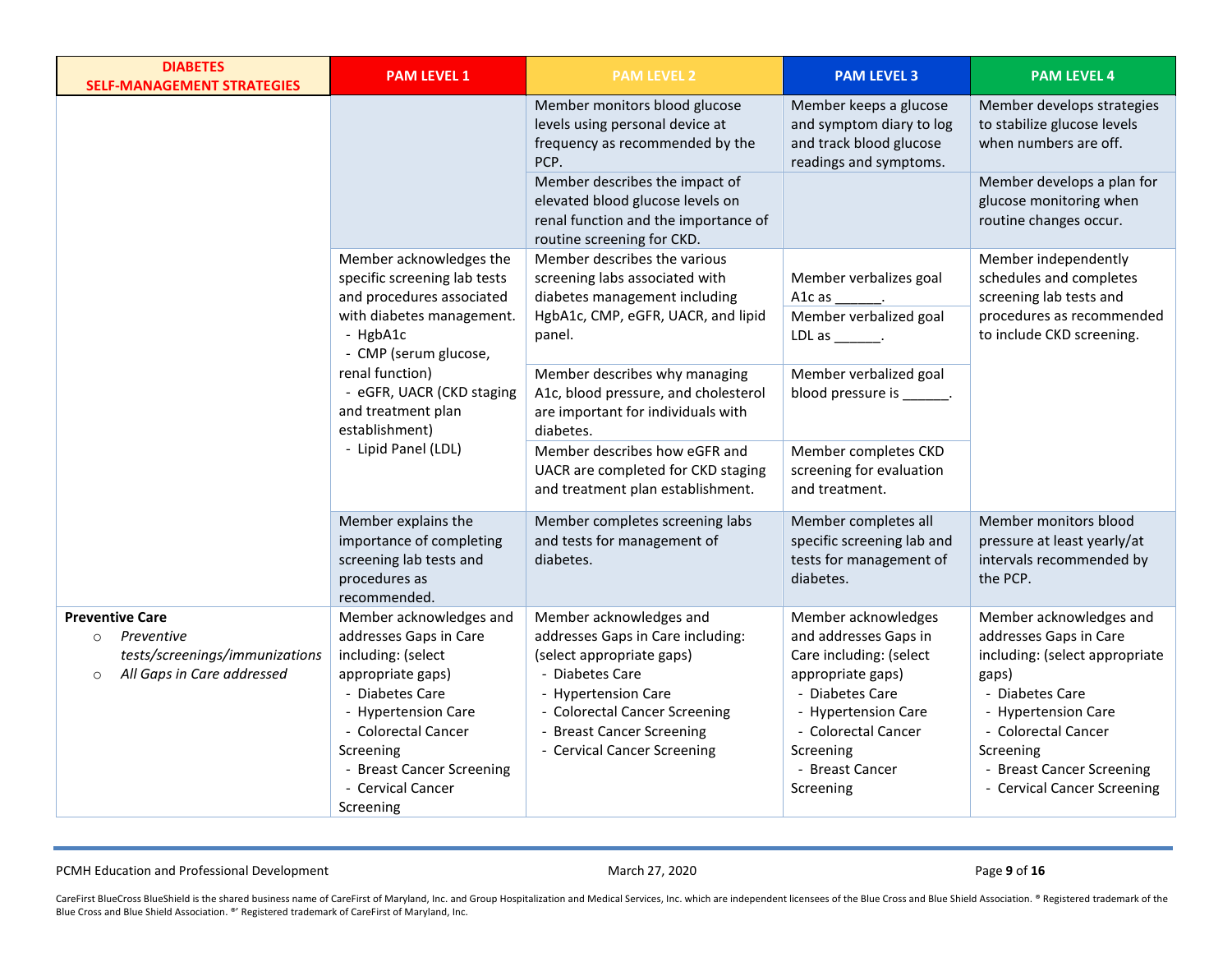| <b>DIABETES</b><br><b>SELF-MANAGEMENT STRATEGIES</b>                                                                       | <b>PAM LEVEL 1</b>                                                                                                                                                                                                                        | <b>PAM LEVEL 2</b>                                                                                                                                                                                                               | <b>PAM LEVEL 3</b>                                                                                                                                                                                         | <b>PAM LEVEL 4</b>                                                                                                                                                                                                                     |
|----------------------------------------------------------------------------------------------------------------------------|-------------------------------------------------------------------------------------------------------------------------------------------------------------------------------------------------------------------------------------------|----------------------------------------------------------------------------------------------------------------------------------------------------------------------------------------------------------------------------------|------------------------------------------------------------------------------------------------------------------------------------------------------------------------------------------------------------|----------------------------------------------------------------------------------------------------------------------------------------------------------------------------------------------------------------------------------------|
|                                                                                                                            |                                                                                                                                                                                                                                           | Member monitors blood glucose<br>levels using personal device at<br>frequency as recommended by the<br>PCP.                                                                                                                      | Member keeps a glucose<br>and symptom diary to log<br>and track blood glucose<br>readings and symptoms.                                                                                                    | Member develops strategies<br>to stabilize glucose levels<br>when numbers are off.                                                                                                                                                     |
|                                                                                                                            |                                                                                                                                                                                                                                           | Member describes the impact of<br>elevated blood glucose levels on<br>renal function and the importance of<br>routine screening for CKD.                                                                                         |                                                                                                                                                                                                            | Member develops a plan for<br>glucose monitoring when<br>routine changes occur.                                                                                                                                                        |
|                                                                                                                            | Member acknowledges the<br>specific screening lab tests<br>and procedures associated                                                                                                                                                      | Member describes the various<br>screening labs associated with<br>diabetes management including                                                                                                                                  | Member verbalizes goal<br>A1c as $\rule{1em}{0.15mm}$ .                                                                                                                                                    | Member independently<br>schedules and completes<br>screening lab tests and                                                                                                                                                             |
|                                                                                                                            | with diabetes management.<br>- HgbA1c<br>- CMP (serum glucose,                                                                                                                                                                            | HgbA1c, CMP, eGFR, UACR, and lipid<br>panel.                                                                                                                                                                                     | Member verbalized goal<br>LDL as $\_\_\_\_\_\$ .                                                                                                                                                           | procedures as recommended<br>to include CKD screening.                                                                                                                                                                                 |
|                                                                                                                            | renal function)<br>- eGFR, UACR (CKD staging<br>and treatment plan<br>establishment)                                                                                                                                                      | Member describes why managing<br>A1c, blood pressure, and cholesterol<br>are important for individuals with<br>diabetes.                                                                                                         | Member verbalized goal<br>blood pressure is _______.                                                                                                                                                       |                                                                                                                                                                                                                                        |
|                                                                                                                            | - Lipid Panel (LDL)                                                                                                                                                                                                                       | Member describes how eGFR and<br>UACR are completed for CKD staging<br>and treatment plan establishment.                                                                                                                         | Member completes CKD<br>screening for evaluation<br>and treatment.                                                                                                                                         |                                                                                                                                                                                                                                        |
|                                                                                                                            | Member explains the<br>importance of completing<br>screening lab tests and<br>procedures as<br>recommended.                                                                                                                               | Member completes screening labs<br>and tests for management of<br>diabetes.                                                                                                                                                      | Member completes all<br>specific screening lab and<br>tests for management of<br>diabetes.                                                                                                                 | Member monitors blood<br>pressure at least yearly/at<br>intervals recommended by<br>the PCP.                                                                                                                                           |
| <b>Preventive Care</b><br>Preventive<br>$\circ$<br>tests/screenings/immunizations<br>All Gaps in Care addressed<br>$\circ$ | Member acknowledges and<br>addresses Gaps in Care<br>including: (select<br>appropriate gaps)<br>- Diabetes Care<br>- Hypertension Care<br>- Colorectal Cancer<br>Screening<br>- Breast Cancer Screening<br>- Cervical Cancer<br>Screening | Member acknowledges and<br>addresses Gaps in Care including:<br>(select appropriate gaps)<br>- Diabetes Care<br>- Hypertension Care<br>- Colorectal Cancer Screening<br>- Breast Cancer Screening<br>- Cervical Cancer Screening | Member acknowledges<br>and addresses Gaps in<br>Care including: (select<br>appropriate gaps)<br>- Diabetes Care<br>- Hypertension Care<br>- Colorectal Cancer<br>Screening<br>- Breast Cancer<br>Screening | Member acknowledges and<br>addresses Gaps in Care<br>including: (select appropriate<br>gaps)<br>- Diabetes Care<br>- Hypertension Care<br>- Colorectal Cancer<br>Screening<br>- Breast Cancer Screening<br>- Cervical Cancer Screening |

PCMH Education and Professional Development **March 27, 2020** March 27, 2020 **Page 9** of 16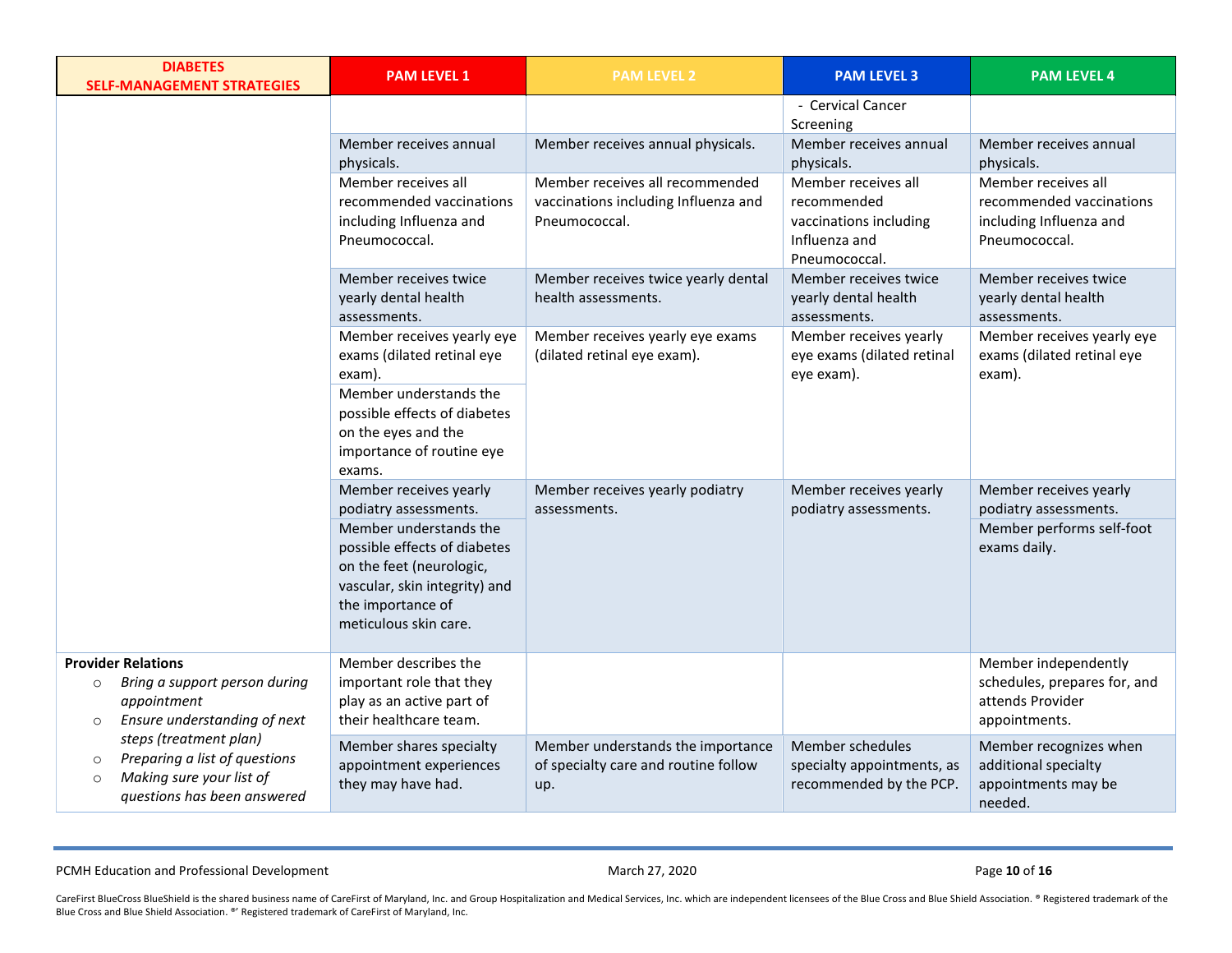| <b>DIABETES</b><br><b>SELF-MANAGEMENT STRATEGIES</b>                                                                                     | <b>PAM LEVEL 1</b>                                                                                                                                                                                                   | <b>PAM LEVEL 2</b>                                                                       | <b>PAM LEVEL 3</b>                                                                             | <b>PAM LEVEL 4</b>                                                                           |
|------------------------------------------------------------------------------------------------------------------------------------------|----------------------------------------------------------------------------------------------------------------------------------------------------------------------------------------------------------------------|------------------------------------------------------------------------------------------|------------------------------------------------------------------------------------------------|----------------------------------------------------------------------------------------------|
|                                                                                                                                          |                                                                                                                                                                                                                      |                                                                                          | - Cervical Cancer<br>Screening                                                                 |                                                                                              |
|                                                                                                                                          | Member receives annual<br>physicals.                                                                                                                                                                                 | Member receives annual physicals.                                                        | Member receives annual<br>physicals.                                                           | Member receives annual<br>physicals.                                                         |
|                                                                                                                                          | Member receives all<br>recommended vaccinations<br>including Influenza and<br>Pneumococcal.                                                                                                                          | Member receives all recommended<br>vaccinations including Influenza and<br>Pneumococcal. | Member receives all<br>recommended<br>vaccinations including<br>Influenza and<br>Pneumococcal. | Member receives all<br>recommended vaccinations<br>including Influenza and<br>Pneumococcal.  |
|                                                                                                                                          | Member receives twice<br>yearly dental health<br>assessments.                                                                                                                                                        | Member receives twice yearly dental<br>health assessments.                               | Member receives twice<br>yearly dental health<br>assessments.                                  | Member receives twice<br>yearly dental health<br>assessments.                                |
|                                                                                                                                          | Member receives yearly eye<br>exams (dilated retinal eye<br>exam).                                                                                                                                                   | Member receives yearly eye exams<br>(dilated retinal eye exam).                          | Member receives yearly<br>eye exams (dilated retinal<br>eye exam).                             | Member receives yearly eye<br>exams (dilated retinal eye<br>exam).                           |
|                                                                                                                                          | Member understands the<br>possible effects of diabetes<br>on the eyes and the<br>importance of routine eye<br>exams.                                                                                                 |                                                                                          |                                                                                                |                                                                                              |
|                                                                                                                                          | Member receives yearly<br>podiatry assessments.<br>Member understands the<br>possible effects of diabetes<br>on the feet (neurologic,<br>vascular, skin integrity) and<br>the importance of<br>meticulous skin care. | Member receives yearly podiatry<br>assessments.                                          | Member receives yearly<br>podiatry assessments.                                                | Member receives yearly<br>podiatry assessments.<br>Member performs self-foot<br>exams daily. |
| <b>Provider Relations</b><br>Bring a support person during<br>$\circ$<br>appointment<br>Ensure understanding of next<br>$\circ$          | Member describes the<br>important role that they<br>play as an active part of<br>their healthcare team.                                                                                                              |                                                                                          |                                                                                                | Member independently<br>schedules, prepares for, and<br>attends Provider<br>appointments.    |
| steps (treatment plan)<br>Preparing a list of questions<br>$\circ$<br>Making sure your list of<br>$\circ$<br>questions has been answered | Member shares specialty<br>appointment experiences<br>they may have had.                                                                                                                                             | Member understands the importance<br>of specialty care and routine follow<br>up.         | Member schedules<br>specialty appointments, as<br>recommended by the PCP.                      | Member recognizes when<br>additional specialty<br>appointments may be<br>needed.             |

PCMH Education and Professional Development **Contact and Professional Development** March 27, 2020 **Page 10** of **16**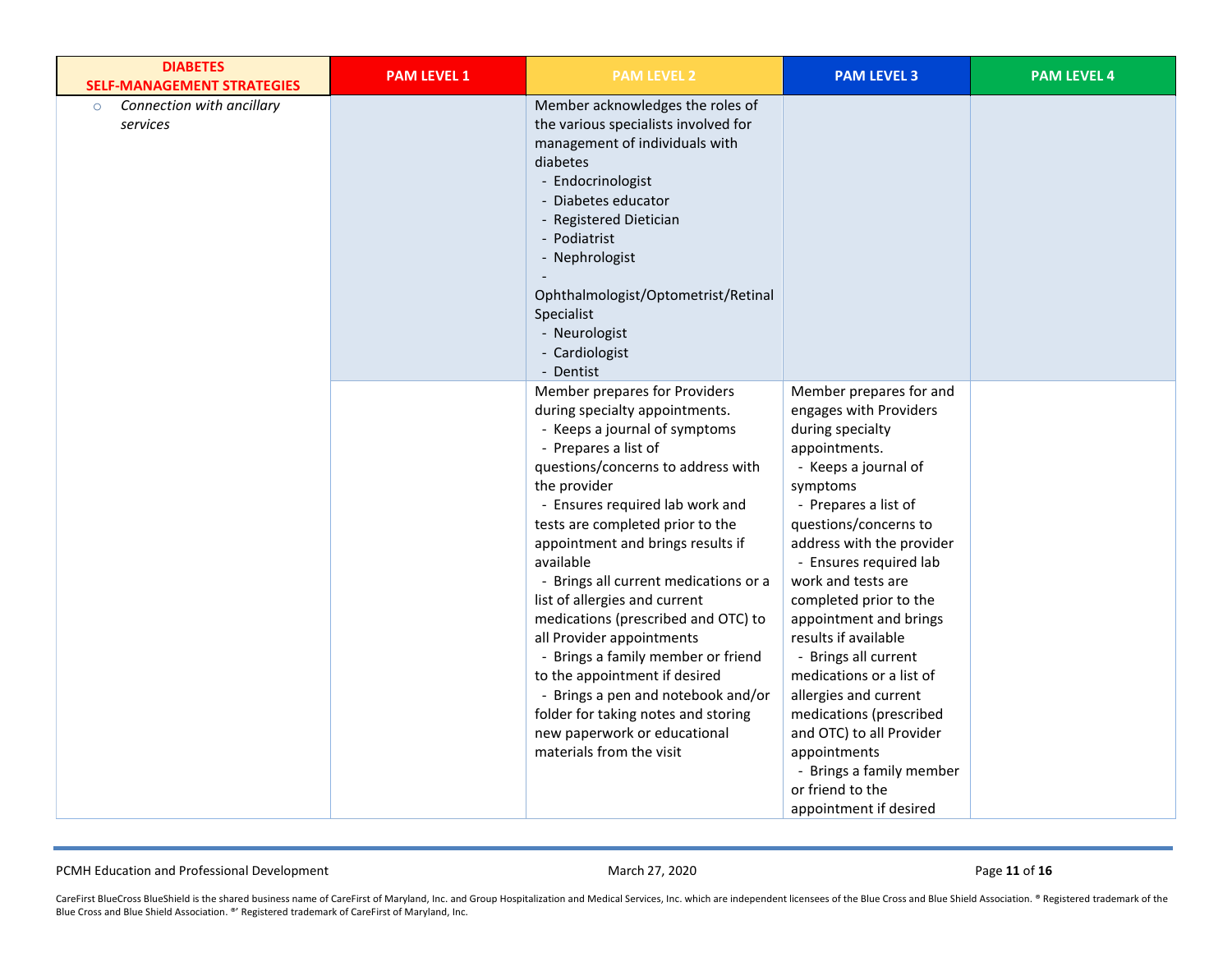| <b>DIABETES</b><br><b>SELF-MANAGEMENT STRATEGIES</b> | <b>PAM LEVEL 1</b> | <b>PAM LEVEL 2</b>                                                                                                                                                                                                                                                                                                                                                                                                                                                                                                                                                                                                                                                    | <b>PAM LEVEL 3</b>                                                                                                                                                                                                                                                                                                                                                                                                                                                                                                                                                 | <b>PAM LEVEL 4</b> |
|------------------------------------------------------|--------------------|-----------------------------------------------------------------------------------------------------------------------------------------------------------------------------------------------------------------------------------------------------------------------------------------------------------------------------------------------------------------------------------------------------------------------------------------------------------------------------------------------------------------------------------------------------------------------------------------------------------------------------------------------------------------------|--------------------------------------------------------------------------------------------------------------------------------------------------------------------------------------------------------------------------------------------------------------------------------------------------------------------------------------------------------------------------------------------------------------------------------------------------------------------------------------------------------------------------------------------------------------------|--------------------|
| Connection with ancillary<br>$\circ$<br>services     |                    | Member acknowledges the roles of<br>the various specialists involved for<br>management of individuals with<br>diabetes<br>- Endocrinologist<br>- Diabetes educator<br>- Registered Dietician<br>- Podiatrist<br>- Nephrologist<br>Ophthalmologist/Optometrist/Retinal<br>Specialist<br>- Neurologist<br>- Cardiologist<br>- Dentist                                                                                                                                                                                                                                                                                                                                   |                                                                                                                                                                                                                                                                                                                                                                                                                                                                                                                                                                    |                    |
|                                                      |                    | Member prepares for Providers<br>during specialty appointments.<br>- Keeps a journal of symptoms<br>- Prepares a list of<br>questions/concerns to address with<br>the provider<br>- Ensures required lab work and<br>tests are completed prior to the<br>appointment and brings results if<br>available<br>- Brings all current medications or a<br>list of allergies and current<br>medications (prescribed and OTC) to<br>all Provider appointments<br>- Brings a family member or friend<br>to the appointment if desired<br>- Brings a pen and notebook and/or<br>folder for taking notes and storing<br>new paperwork or educational<br>materials from the visit | Member prepares for and<br>engages with Providers<br>during specialty<br>appointments.<br>- Keeps a journal of<br>symptoms<br>- Prepares a list of<br>questions/concerns to<br>address with the provider<br>- Ensures required lab<br>work and tests are<br>completed prior to the<br>appointment and brings<br>results if available<br>- Brings all current<br>medications or a list of<br>allergies and current<br>medications (prescribed<br>and OTC) to all Provider<br>appointments<br>- Brings a family member<br>or friend to the<br>appointment if desired |                    |

PCMH Education and Professional Development **Access 200 and Professional Development** March 27, 2020 Page **11** of **16**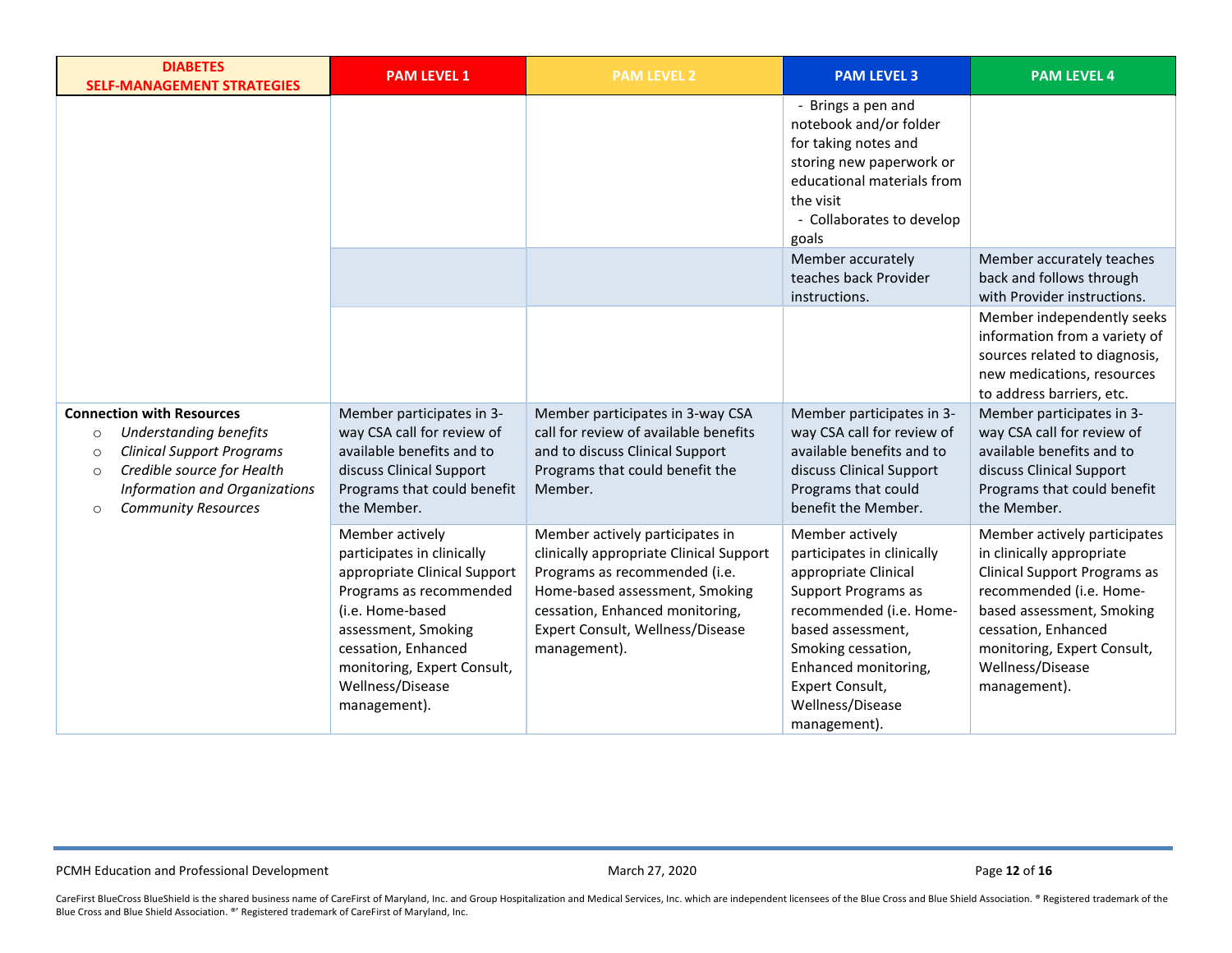| <b>DIABETES</b><br><b>SELF-MANAGEMENT STRATEGIES</b>                                                                                                                                                                                           | <b>PAM LEVEL 1</b>                                                                                                                                                                                                                            | <b>PAM LEVEL 2</b>                                                                                                                                                                                                                   | <b>PAM LEVEL 3</b>                                                                                                                                                                                                                                       | <b>PAM LEVEL 4</b>                                                                                                                                                                                                                                 |
|------------------------------------------------------------------------------------------------------------------------------------------------------------------------------------------------------------------------------------------------|-----------------------------------------------------------------------------------------------------------------------------------------------------------------------------------------------------------------------------------------------|--------------------------------------------------------------------------------------------------------------------------------------------------------------------------------------------------------------------------------------|----------------------------------------------------------------------------------------------------------------------------------------------------------------------------------------------------------------------------------------------------------|----------------------------------------------------------------------------------------------------------------------------------------------------------------------------------------------------------------------------------------------------|
|                                                                                                                                                                                                                                                |                                                                                                                                                                                                                                               |                                                                                                                                                                                                                                      | - Brings a pen and<br>notebook and/or folder<br>for taking notes and<br>storing new paperwork or<br>educational materials from<br>the visit<br>- Collaborates to develop<br>goals                                                                        |                                                                                                                                                                                                                                                    |
|                                                                                                                                                                                                                                                |                                                                                                                                                                                                                                               |                                                                                                                                                                                                                                      | Member accurately<br>teaches back Provider<br>instructions.                                                                                                                                                                                              | Member accurately teaches<br>back and follows through<br>with Provider instructions.                                                                                                                                                               |
|                                                                                                                                                                                                                                                |                                                                                                                                                                                                                                               |                                                                                                                                                                                                                                      |                                                                                                                                                                                                                                                          | Member independently seeks<br>information from a variety of<br>sources related to diagnosis,<br>new medications, resources<br>to address barriers, etc.                                                                                            |
| <b>Connection with Resources</b><br><b>Understanding benefits</b><br>$\circ$<br><b>Clinical Support Programs</b><br>$\circ$<br>Credible source for Health<br>$\circ$<br>Information and Organizations<br><b>Community Resources</b><br>$\circ$ | Member participates in 3-<br>way CSA call for review of<br>available benefits and to<br>discuss Clinical Support<br>Programs that could benefit<br>the Member.                                                                                | Member participates in 3-way CSA<br>call for review of available benefits<br>and to discuss Clinical Support<br>Programs that could benefit the<br>Member.                                                                           | Member participates in 3-<br>way CSA call for review of<br>available benefits and to<br>discuss Clinical Support<br>Programs that could<br>benefit the Member.                                                                                           | Member participates in 3-<br>way CSA call for review of<br>available benefits and to<br>discuss Clinical Support<br>Programs that could benefit<br>the Member.                                                                                     |
|                                                                                                                                                                                                                                                | Member actively<br>participates in clinically<br>appropriate Clinical Support<br>Programs as recommended<br>(i.e. Home-based<br>assessment, Smoking<br>cessation, Enhanced<br>monitoring, Expert Consult,<br>Wellness/Disease<br>management). | Member actively participates in<br>clinically appropriate Clinical Support<br>Programs as recommended (i.e.<br>Home-based assessment, Smoking<br>cessation, Enhanced monitoring,<br>Expert Consult, Wellness/Disease<br>management). | Member actively<br>participates in clinically<br>appropriate Clinical<br><b>Support Programs as</b><br>recommended (i.e. Home-<br>based assessment,<br>Smoking cessation,<br>Enhanced monitoring,<br>Expert Consult,<br>Wellness/Disease<br>management). | Member actively participates<br>in clinically appropriate<br><b>Clinical Support Programs as</b><br>recommended (i.e. Home-<br>based assessment, Smoking<br>cessation, Enhanced<br>monitoring, Expert Consult,<br>Wellness/Disease<br>management). |

PCMH Education and Professional Development **Access 200 and Professional Development** March 27, 2020 Page 12 of 16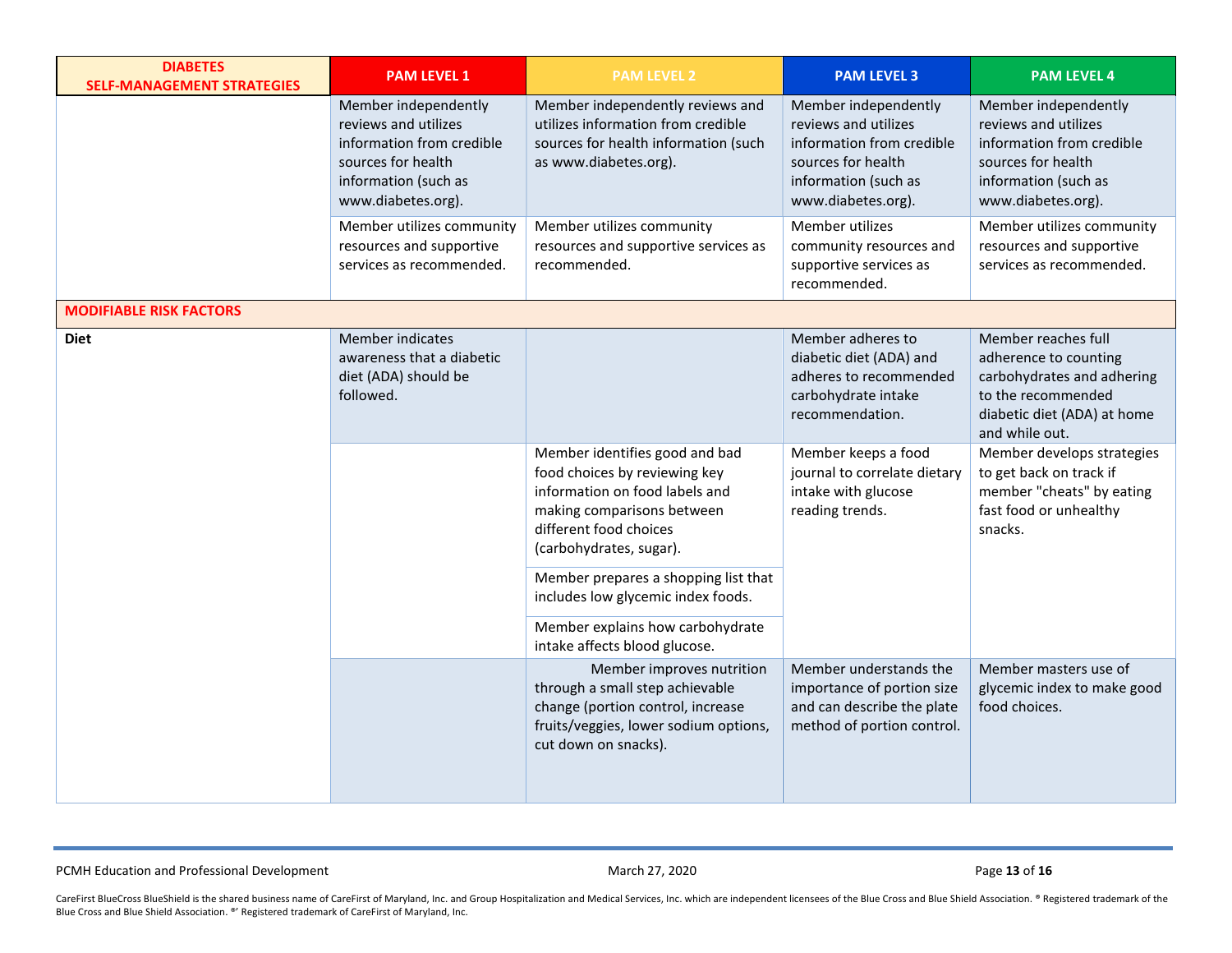| <b>DIABETES</b><br><b>SELF-MANAGEMENT STRATEGIES</b> | <b>PAM LEVEL 1</b>                                                                                                                            | <b>PAM LEVEL 2</b>                                                                                                                                                                   | <b>PAM LEVEL 3</b>                                                                                                                            | <b>PAM LEVEL 4</b>                                                                                                                                |
|------------------------------------------------------|-----------------------------------------------------------------------------------------------------------------------------------------------|--------------------------------------------------------------------------------------------------------------------------------------------------------------------------------------|-----------------------------------------------------------------------------------------------------------------------------------------------|---------------------------------------------------------------------------------------------------------------------------------------------------|
|                                                      | Member independently<br>reviews and utilizes<br>information from credible<br>sources for health<br>information (such as<br>www.diabetes.org). | Member independently reviews and<br>utilizes information from credible<br>sources for health information (such<br>as www.diabetes.org).                                              | Member independently<br>reviews and utilizes<br>information from credible<br>sources for health<br>information (such as<br>www.diabetes.org). | Member independently<br>reviews and utilizes<br>information from credible<br>sources for health<br>information (such as<br>www.diabetes.org).     |
|                                                      | Member utilizes community<br>resources and supportive<br>services as recommended.                                                             | Member utilizes community<br>resources and supportive services as<br>recommended.                                                                                                    | Member utilizes<br>community resources and<br>supportive services as<br>recommended.                                                          | Member utilizes community<br>resources and supportive<br>services as recommended.                                                                 |
| <b>MODIFIABLE RISK FACTORS</b>                       |                                                                                                                                               |                                                                                                                                                                                      |                                                                                                                                               |                                                                                                                                                   |
| <b>Diet</b>                                          | <b>Member indicates</b><br>awareness that a diabetic<br>diet (ADA) should be<br>followed.                                                     |                                                                                                                                                                                      | Member adheres to<br>diabetic diet (ADA) and<br>adheres to recommended<br>carbohydrate intake<br>recommendation.                              | Member reaches full<br>adherence to counting<br>carbohydrates and adhering<br>to the recommended<br>diabetic diet (ADA) at home<br>and while out. |
|                                                      |                                                                                                                                               | Member identifies good and bad<br>food choices by reviewing key<br>information on food labels and<br>making comparisons between<br>different food choices<br>(carbohydrates, sugar). | Member keeps a food<br>journal to correlate dietary<br>intake with glucose<br>reading trends.                                                 | Member develops strategies<br>to get back on track if<br>member "cheats" by eating<br>fast food or unhealthy<br>snacks.                           |
|                                                      |                                                                                                                                               | Member prepares a shopping list that<br>includes low glycemic index foods.                                                                                                           |                                                                                                                                               |                                                                                                                                                   |
|                                                      |                                                                                                                                               | Member explains how carbohydrate<br>intake affects blood glucose.                                                                                                                    |                                                                                                                                               |                                                                                                                                                   |
|                                                      |                                                                                                                                               | Member improves nutrition<br>through a small step achievable<br>change (portion control, increase<br>fruits/veggies, lower sodium options,<br>cut down on snacks).                   | Member understands the<br>importance of portion size<br>and can describe the plate<br>method of portion control.                              | Member masters use of<br>glycemic index to make good<br>food choices.                                                                             |

PCMH Education and Professional Development **Access 200 and Professional Development** March 27, 2020 Page 13 of 16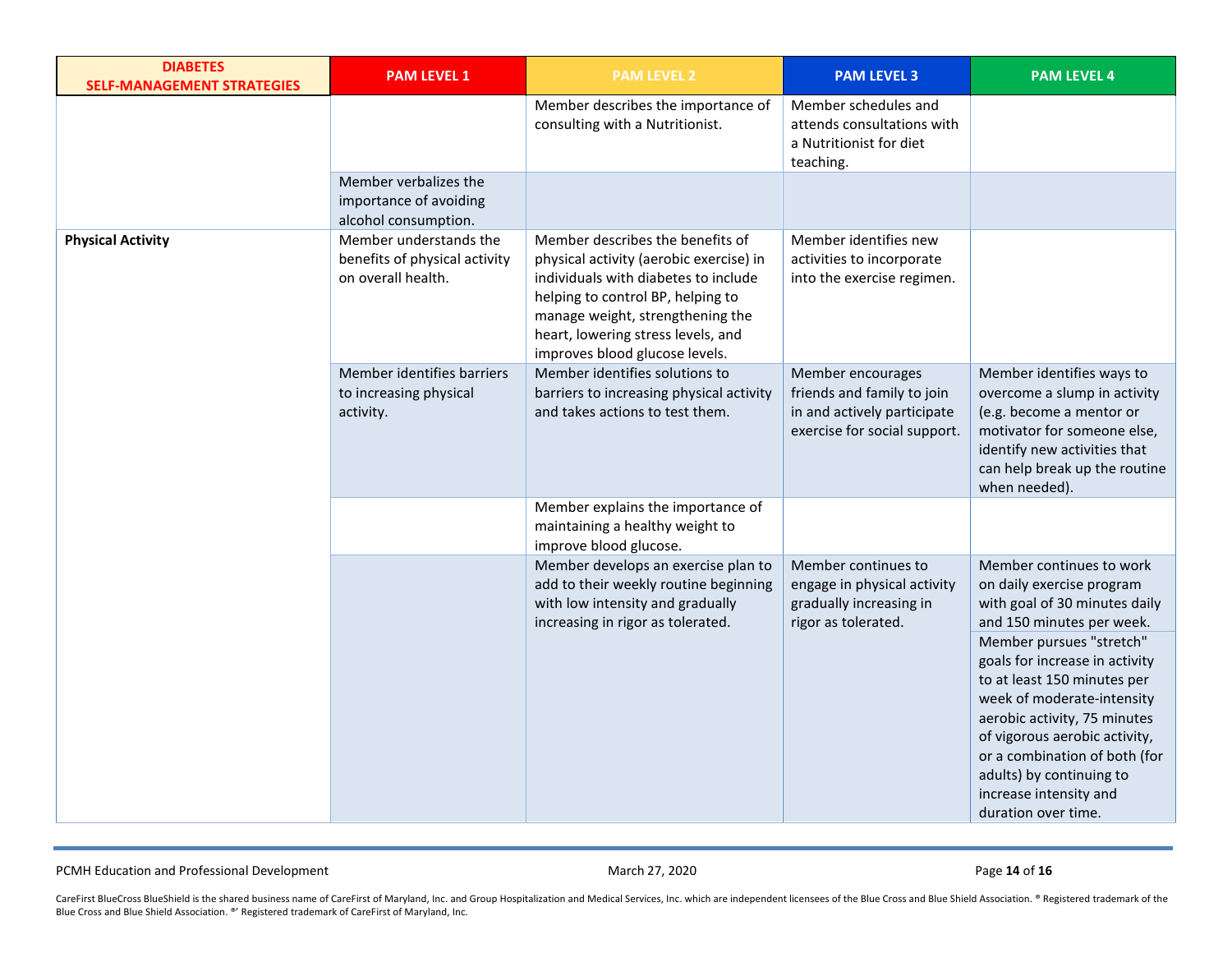| <b>DIABETES</b><br><b>SELF-MANAGEMENT STRATEGIES</b> | <b>PAM LEVEL 1</b>                                                            | <b>PAM LEVEL 2</b>                                                                                                                                                                                                                                                   | <b>PAM LEVEL 3</b>                                                                                             | <b>PAM LEVEL 4</b>                                                                                                                                                                                                                                                                                     |
|------------------------------------------------------|-------------------------------------------------------------------------------|----------------------------------------------------------------------------------------------------------------------------------------------------------------------------------------------------------------------------------------------------------------------|----------------------------------------------------------------------------------------------------------------|--------------------------------------------------------------------------------------------------------------------------------------------------------------------------------------------------------------------------------------------------------------------------------------------------------|
|                                                      |                                                                               | Member describes the importance of<br>consulting with a Nutritionist.                                                                                                                                                                                                | Member schedules and<br>attends consultations with<br>a Nutritionist for diet<br>teaching.                     |                                                                                                                                                                                                                                                                                                        |
|                                                      | Member verbalizes the<br>importance of avoiding<br>alcohol consumption.       |                                                                                                                                                                                                                                                                      |                                                                                                                |                                                                                                                                                                                                                                                                                                        |
| <b>Physical Activity</b>                             | Member understands the<br>benefits of physical activity<br>on overall health. | Member describes the benefits of<br>physical activity (aerobic exercise) in<br>individuals with diabetes to include<br>helping to control BP, helping to<br>manage weight, strengthening the<br>heart, lowering stress levels, and<br>improves blood glucose levels. | Member identifies new<br>activities to incorporate<br>into the exercise regimen.                               |                                                                                                                                                                                                                                                                                                        |
|                                                      | Member identifies barriers<br>to increasing physical<br>activity.             | Member identifies solutions to<br>barriers to increasing physical activity<br>and takes actions to test them.                                                                                                                                                        | Member encourages<br>friends and family to join<br>in and actively participate<br>exercise for social support. | Member identifies ways to<br>overcome a slump in activity<br>(e.g. become a mentor or<br>motivator for someone else,<br>identify new activities that<br>can help break up the routine<br>when needed).                                                                                                 |
|                                                      |                                                                               | Member explains the importance of<br>maintaining a healthy weight to<br>improve blood glucose.                                                                                                                                                                       |                                                                                                                |                                                                                                                                                                                                                                                                                                        |
|                                                      |                                                                               | Member develops an exercise plan to<br>add to their weekly routine beginning<br>with low intensity and gradually<br>increasing in rigor as tolerated.                                                                                                                | Member continues to<br>engage in physical activity<br>gradually increasing in<br>rigor as tolerated.           | Member continues to work<br>on daily exercise program<br>with goal of 30 minutes daily<br>and 150 minutes per week.                                                                                                                                                                                    |
|                                                      |                                                                               |                                                                                                                                                                                                                                                                      |                                                                                                                | Member pursues "stretch"<br>goals for increase in activity<br>to at least 150 minutes per<br>week of moderate-intensity<br>aerobic activity, 75 minutes<br>of vigorous aerobic activity,<br>or a combination of both (for<br>adults) by continuing to<br>increase intensity and<br>duration over time. |

PCMH Education and Professional Development **Contact and Professional Development** March 27, 2020 **Page 14** of **16**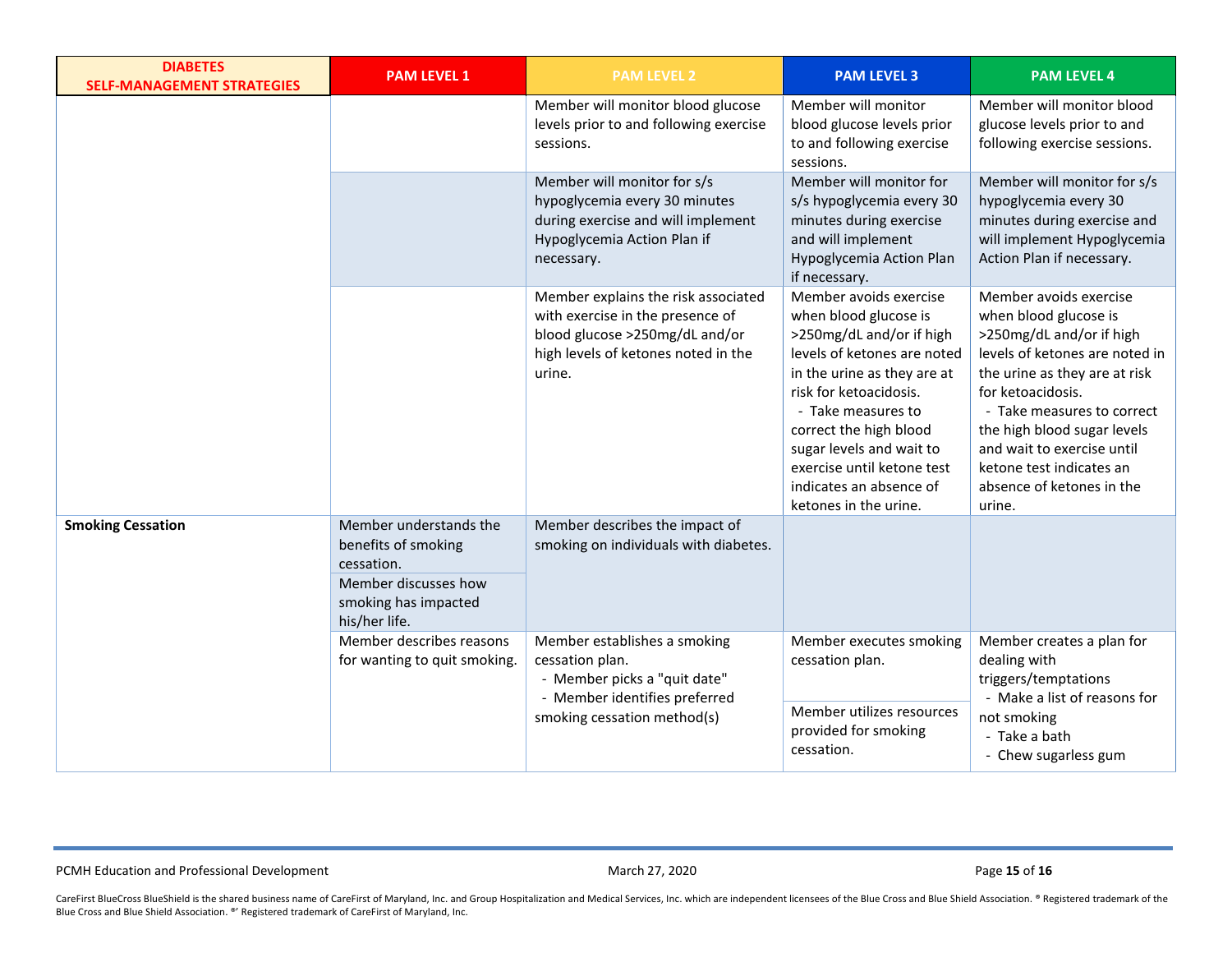| <b>DIABETES</b><br><b>SELF-MANAGEMENT STRATEGIES</b> | <b>PAM LEVEL 1</b>                                                                                                           | <b>PAM LEVEL 2</b>                                                                                                                                         | <b>PAM LEVEL 3</b>                                                                                                                                                                                                                                                                                                                | <b>PAM LEVEL 4</b>                                                                                                                                                                                                                                                                                                                |
|------------------------------------------------------|------------------------------------------------------------------------------------------------------------------------------|------------------------------------------------------------------------------------------------------------------------------------------------------------|-----------------------------------------------------------------------------------------------------------------------------------------------------------------------------------------------------------------------------------------------------------------------------------------------------------------------------------|-----------------------------------------------------------------------------------------------------------------------------------------------------------------------------------------------------------------------------------------------------------------------------------------------------------------------------------|
|                                                      |                                                                                                                              | Member will monitor blood glucose<br>levels prior to and following exercise<br>sessions.                                                                   | Member will monitor<br>blood glucose levels prior<br>to and following exercise<br>sessions.                                                                                                                                                                                                                                       | Member will monitor blood<br>glucose levels prior to and<br>following exercise sessions.                                                                                                                                                                                                                                          |
|                                                      |                                                                                                                              | Member will monitor for s/s<br>hypoglycemia every 30 minutes<br>during exercise and will implement<br>Hypoglycemia Action Plan if<br>necessary.            | Member will monitor for<br>s/s hypoglycemia every 30<br>minutes during exercise<br>and will implement<br>Hypoglycemia Action Plan<br>if necessary.                                                                                                                                                                                | Member will monitor for s/s<br>hypoglycemia every 30<br>minutes during exercise and<br>will implement Hypoglycemia<br>Action Plan if necessary.                                                                                                                                                                                   |
|                                                      |                                                                                                                              | Member explains the risk associated<br>with exercise in the presence of<br>blood glucose >250mg/dL and/or<br>high levels of ketones noted in the<br>urine. | Member avoids exercise<br>when blood glucose is<br>>250mg/dL and/or if high<br>levels of ketones are noted<br>in the urine as they are at<br>risk for ketoacidosis.<br>- Take measures to<br>correct the high blood<br>sugar levels and wait to<br>exercise until ketone test<br>indicates an absence of<br>ketones in the urine. | Member avoids exercise<br>when blood glucose is<br>>250mg/dL and/or if high<br>levels of ketones are noted in<br>the urine as they are at risk<br>for ketoacidosis.<br>- Take measures to correct<br>the high blood sugar levels<br>and wait to exercise until<br>ketone test indicates an<br>absence of ketones in the<br>urine. |
| <b>Smoking Cessation</b>                             | Member understands the<br>benefits of smoking<br>cessation.<br>Member discusses how<br>smoking has impacted<br>his/her life. | Member describes the impact of<br>smoking on individuals with diabetes.                                                                                    |                                                                                                                                                                                                                                                                                                                                   |                                                                                                                                                                                                                                                                                                                                   |
|                                                      | Member describes reasons<br>for wanting to quit smoking.                                                                     | Member establishes a smoking<br>cessation plan.<br>- Member picks a "quit date"<br>- Member identifies preferred<br>smoking cessation method(s)            | Member executes smoking<br>cessation plan.<br>Member utilizes resources<br>provided for smoking<br>cessation.                                                                                                                                                                                                                     | Member creates a plan for<br>dealing with<br>triggers/temptations<br>- Make a list of reasons for<br>not smoking<br>- Take a bath<br>- Chew sugarless gum                                                                                                                                                                         |

PCMH Education and Professional Development **Contact and Professional Development** March 27, 2020 **Page 15** of **16**